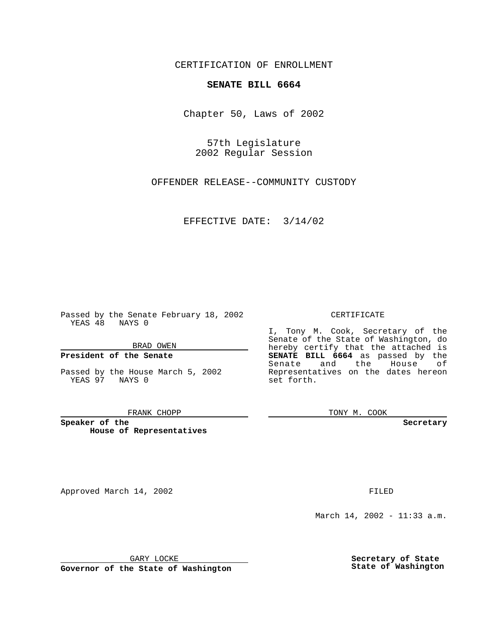CERTIFICATION OF ENROLLMENT

## **SENATE BILL 6664**

Chapter 50, Laws of 2002

57th Legislature 2002 Regular Session

OFFENDER RELEASE--COMMUNITY CUSTODY

EFFECTIVE DATE: 3/14/02

Passed by the Senate February 18, 2002 YEAS 48 NAYS 0

BRAD OWEN

## **President of the Senate**

Passed by the House March 5, 2002 YEAS 97 NAYS 0

#### FRANK CHOPP

**Speaker of the House of Representatives**

Approved March 14, 2002 **FILED** 

### CERTIFICATE

I, Tony M. Cook, Secretary of the Senate of the State of Washington, do hereby certify that the attached is **SENATE BILL 6664** as passed by the Senate and the House of Representatives on the dates hereon set forth.

TONY M. COOK

**Secretary**

March 14, 2002 - 11:33 a.m.

GARY LOCKE

**Governor of the State of Washington**

**Secretary of State State of Washington**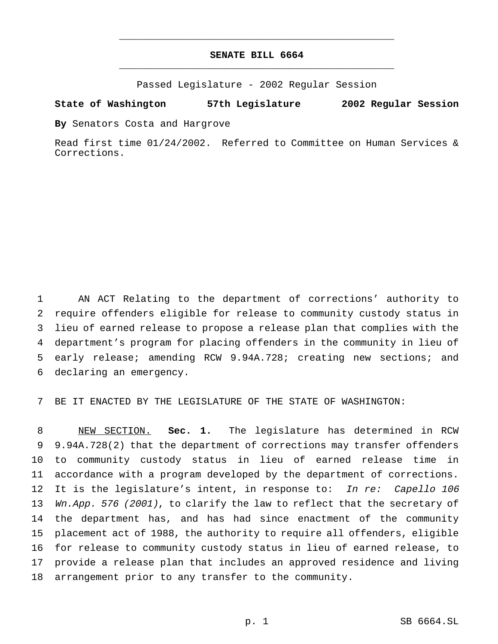# **SENATE BILL 6664** \_\_\_\_\_\_\_\_\_\_\_\_\_\_\_\_\_\_\_\_\_\_\_\_\_\_\_\_\_\_\_\_\_\_\_\_\_\_\_\_\_\_\_\_\_\_\_

\_\_\_\_\_\_\_\_\_\_\_\_\_\_\_\_\_\_\_\_\_\_\_\_\_\_\_\_\_\_\_\_\_\_\_\_\_\_\_\_\_\_\_\_\_\_\_

Passed Legislature - 2002 Regular Session

### **State of Washington 57th Legislature 2002 Regular Session**

**By** Senators Costa and Hargrove

Read first time 01/24/2002. Referred to Committee on Human Services & Corrections.

 AN ACT Relating to the department of corrections' authority to require offenders eligible for release to community custody status in lieu of earned release to propose a release plan that complies with the department's program for placing offenders in the community in lieu of early release; amending RCW 9.94A.728; creating new sections; and declaring an emergency.

7 BE IT ENACTED BY THE LEGISLATURE OF THE STATE OF WASHINGTON:

 NEW SECTION. **Sec. 1.** The legislature has determined in RCW 9.94A.728(2) that the department of corrections may transfer offenders to community custody status in lieu of earned release time in accordance with a program developed by the department of corrections. 12 It is the legislature's intent, in response to: In re: Capello 106 13 Wn.App. 576 (2001), to clarify the law to reflect that the secretary of the department has, and has had since enactment of the community placement act of 1988, the authority to require all offenders, eligible for release to community custody status in lieu of earned release, to provide a release plan that includes an approved residence and living arrangement prior to any transfer to the community.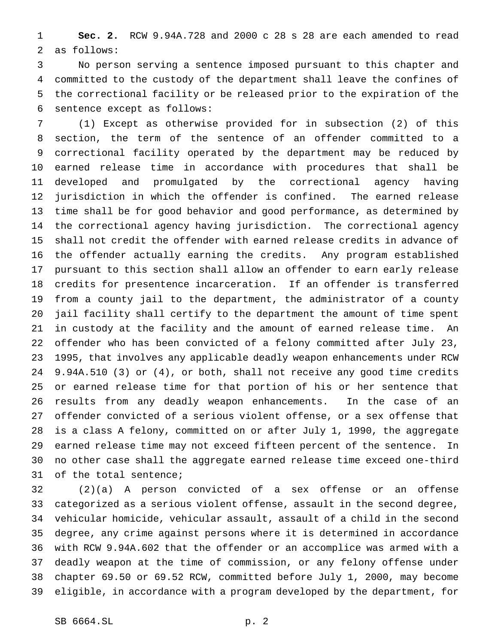**Sec. 2.** RCW 9.94A.728 and 2000 c 28 s 28 are each amended to read as follows:

 No person serving a sentence imposed pursuant to this chapter and committed to the custody of the department shall leave the confines of the correctional facility or be released prior to the expiration of the sentence except as follows:

 (1) Except as otherwise provided for in subsection (2) of this section, the term of the sentence of an offender committed to a correctional facility operated by the department may be reduced by earned release time in accordance with procedures that shall be developed and promulgated by the correctional agency having jurisdiction in which the offender is confined. The earned release time shall be for good behavior and good performance, as determined by the correctional agency having jurisdiction. The correctional agency shall not credit the offender with earned release credits in advance of the offender actually earning the credits. Any program established pursuant to this section shall allow an offender to earn early release credits for presentence incarceration. If an offender is transferred from a county jail to the department, the administrator of a county jail facility shall certify to the department the amount of time spent in custody at the facility and the amount of earned release time. An offender who has been convicted of a felony committed after July 23, 1995, that involves any applicable deadly weapon enhancements under RCW 9.94A.510 (3) or (4), or both, shall not receive any good time credits or earned release time for that portion of his or her sentence that results from any deadly weapon enhancements. In the case of an offender convicted of a serious violent offense, or a sex offense that is a class A felony, committed on or after July 1, 1990, the aggregate earned release time may not exceed fifteen percent of the sentence. In no other case shall the aggregate earned release time exceed one-third of the total sentence;

 (2)(a) A person convicted of a sex offense or an offense categorized as a serious violent offense, assault in the second degree, vehicular homicide, vehicular assault, assault of a child in the second degree, any crime against persons where it is determined in accordance with RCW 9.94A.602 that the offender or an accomplice was armed with a deadly weapon at the time of commission, or any felony offense under chapter 69.50 or 69.52 RCW, committed before July 1, 2000, may become eligible, in accordance with a program developed by the department, for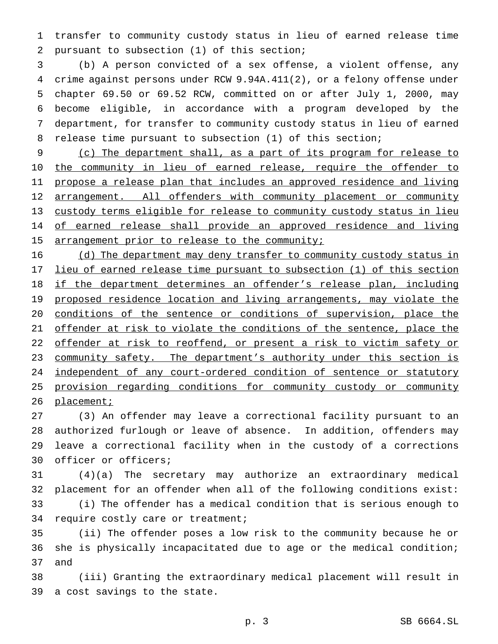transfer to community custody status in lieu of earned release time pursuant to subsection (1) of this section;

 (b) A person convicted of a sex offense, a violent offense, any crime against persons under RCW 9.94A.411(2), or a felony offense under chapter 69.50 or 69.52 RCW, committed on or after July 1, 2000, may become eligible, in accordance with a program developed by the department, for transfer to community custody status in lieu of earned release time pursuant to subsection (1) of this section;

 (c) The department shall, as a part of its program for release to 10 the community in lieu of earned release, require the offender to propose a release plan that includes an approved residence and living 12 arrangement. All offenders with community placement or community custody terms eligible for release to community custody status in lieu 14 of earned release shall provide an approved residence and living 15 arrangement prior to release to the community;

 (d) The department may deny transfer to community custody status in 17 lieu of earned release time pursuant to subsection (1) of this section 18 if the department determines an offender's release plan, including 19 proposed residence location and living arrangements, may violate the conditions of the sentence or conditions of supervision, place the 21 offender at risk to violate the conditions of the sentence, place the 22 offender at risk to reoffend, or present a risk to victim safety or 23 community safety. The department's authority under this section is 24 independent of any court-ordered condition of sentence or statutory provision regarding conditions for community custody or community 26 placement;

 (3) An offender may leave a correctional facility pursuant to an authorized furlough or leave of absence. In addition, offenders may leave a correctional facility when in the custody of a corrections officer or officers;

 (4)(a) The secretary may authorize an extraordinary medical placement for an offender when all of the following conditions exist: (i) The offender has a medical condition that is serious enough to require costly care or treatment;

 (ii) The offender poses a low risk to the community because he or she is physically incapacitated due to age or the medical condition; and

 (iii) Granting the extraordinary medical placement will result in a cost savings to the state.

p. 3 SB 6664.SL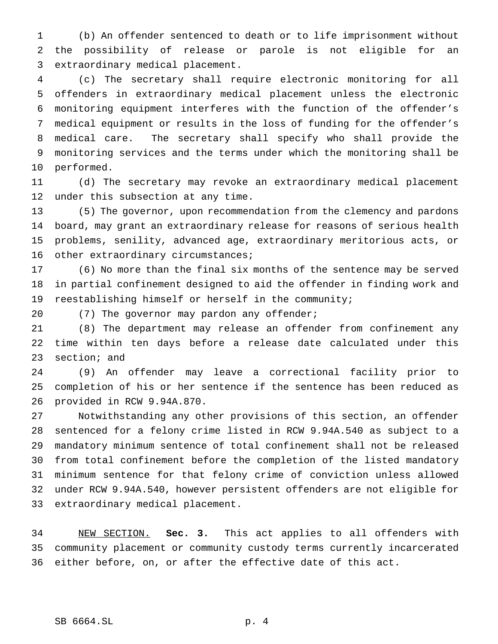(b) An offender sentenced to death or to life imprisonment without the possibility of release or parole is not eligible for an extraordinary medical placement.

 (c) The secretary shall require electronic monitoring for all offenders in extraordinary medical placement unless the electronic monitoring equipment interferes with the function of the offender's medical equipment or results in the loss of funding for the offender's medical care. The secretary shall specify who shall provide the monitoring services and the terms under which the monitoring shall be performed.

 (d) The secretary may revoke an extraordinary medical placement under this subsection at any time.

 (5) The governor, upon recommendation from the clemency and pardons board, may grant an extraordinary release for reasons of serious health problems, senility, advanced age, extraordinary meritorious acts, or 16 other extraordinary circumstances;

 (6) No more than the final six months of the sentence may be served in partial confinement designed to aid the offender in finding work and reestablishing himself or herself in the community;

20 (7) The governor may pardon any offender;

 (8) The department may release an offender from confinement any time within ten days before a release date calculated under this section; and

 (9) An offender may leave a correctional facility prior to completion of his or her sentence if the sentence has been reduced as provided in RCW 9.94A.870.

 Notwithstanding any other provisions of this section, an offender sentenced for a felony crime listed in RCW 9.94A.540 as subject to a mandatory minimum sentence of total confinement shall not be released from total confinement before the completion of the listed mandatory minimum sentence for that felony crime of conviction unless allowed under RCW 9.94A.540, however persistent offenders are not eligible for extraordinary medical placement.

 NEW SECTION. **Sec. 3.** This act applies to all offenders with community placement or community custody terms currently incarcerated either before, on, or after the effective date of this act.